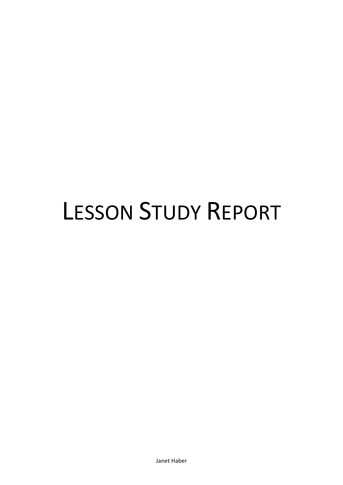# **LESSON STUDY REPORT**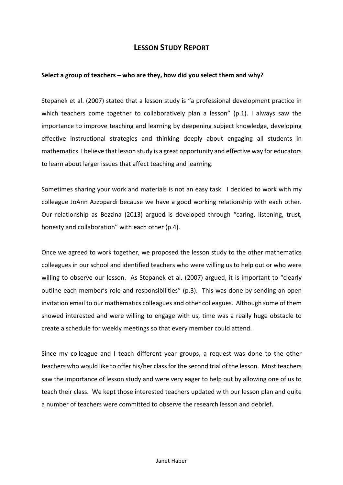# **LESSON STUDY REPORT**

## **Select a group of teachers – who are they, how did you select them and why?**

Stepanek et al. (2007) stated that a lesson study is "a professional development practice in which teachers come together to collaboratively plan a lesson" (p.1). I always saw the importance to improve teaching and learning by deepening subject knowledge, developing effective instructional strategies and thinking deeply about engaging all students in mathematics. I believe that lesson study is a great opportunity and effective way for educators to learn about larger issues that affect teaching and learning.

Sometimes sharing your work and materials is not an easy task. I decided to work with my colleague JoAnn Azzopardi because we have a good working relationship with each other. Our relationship as Bezzina (2013) argued is developed through "caring, listening, trust, honesty and collaboration" with each other (p.4).

Once we agreed to work together, we proposed the lesson study to the other mathematics colleagues in our school and identified teachers who were willing us to help out or who were willing to observe our lesson. As Stepanek et al. (2007) argued, it is important to "clearly outline each member's role and responsibilities" (p.3). This was done by sending an open invitation email to our mathematics colleagues and other colleagues. Although some of them showed interested and were willing to engage with us, time was a really huge obstacle to create a schedule for weekly meetings so that every member could attend.

Since my colleague and I teach different year groups, a request was done to the other teachers who would like to offer his/her class for the second trial of the lesson. Most teachers saw the importance of lesson study and were very eager to help out by allowing one of us to teach their class. We kept those interested teachers updated with our lesson plan and quite a number of teachers were committed to observe the research lesson and debrief.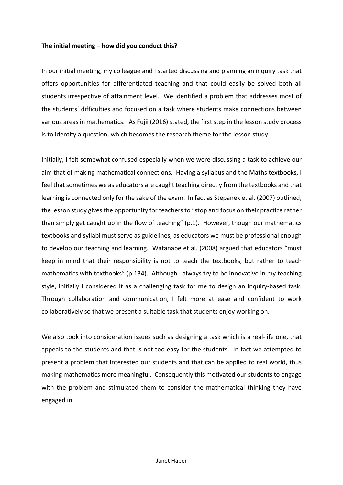#### The initial meeting – how did you conduct this?

In our initial meeting, my colleague and I started discussing and planning an inquiry task that offers opportunities for differentiated teaching and that could easily be solved both all students irrespective of attainment level. We identified a problem that addresses most of the students' difficulties and focused on a task where students make connections between various areas in mathematics. As Fujii (2016) stated, the first step in the lesson study process is to identify a question, which becomes the research theme for the lesson study.

Initially, I felt somewhat confused especially when we were discussing a task to achieve our aim that of making mathematical connections. Having a syllabus and the Maths textbooks, I feel that sometimes we as educators are caught teaching directly from the textbooks and that learning is connected only for the sake of the exam. In fact as Stepanek et al. (2007) outlined, the lesson study gives the opportunity for teachers to "stop and focus on their practice rather than simply get caught up in the flow of teaching" (p.1). However, though our mathematics textbooks and syllabi must serve as guidelines, as educators we must be professional enough to develop our teaching and learning. Watanabe et al. (2008) argued that educators "must keep in mind that their responsibility is not to teach the textbooks, but rather to teach mathematics with textbooks" (p.134). Although I always try to be innovative in my teaching style, initially I considered it as a challenging task for me to design an inquiry-based task. Through collaboration and communication, I felt more at ease and confident to work collaboratively so that we present a suitable task that students enjoy working on.

We also took into consideration issues such as designing a task which is a real-life one, that appeals to the students and that is not too easy for the students. In fact we attempted to present a problem that interested our students and that can be applied to real world, thus making mathematics more meaningful. Consequently this motivated our students to engage with the problem and stimulated them to consider the mathematical thinking they have engaged in.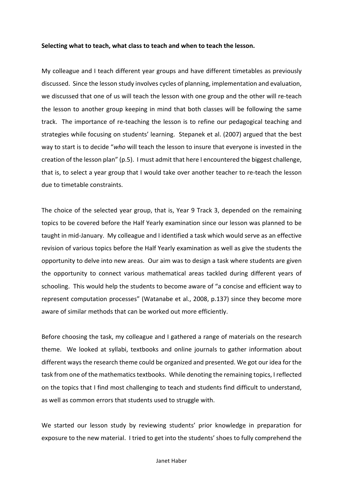#### Selecting what to teach, what class to teach and when to teach the lesson.

My colleague and I teach different year groups and have different timetables as previously discussed. Since the lesson study involves cycles of planning, implementation and evaluation, we discussed that one of us will teach the lesson with one group and the other will re-teach the lesson to another group keeping in mind that both classes will be following the same track. The importance of re-teaching the lesson is to refine our pedagogical teaching and strategies while focusing on students' learning. Stepanek et al. (2007) argued that the best way to start is to decide "*who* will teach the lesson to insure that everyone is invested in the creation of the lesson plan" (p.5). I must admit that here I encountered the biggest challenge, that is, to select a year group that I would take over another teacher to re-teach the lesson due to timetable constraints.

The choice of the selected year group, that is, Year 9 Track 3, depended on the remaining topics to be covered before the Half Yearly examination since our lesson was planned to be taught in mid-January. My colleague and I identified a task which would serve as an effective revision of various topics before the Half Yearly examination as well as give the students the opportunity to delve into new areas. Our aim was to design a task where students are given the opportunity to connect various mathematical areas tackled during different years of schooling. This would help the students to become aware of "a concise and efficient way to represent computation processes" (Watanabe et al., 2008, p.137) since they become more aware of similar methods that can be worked out more efficiently.

Before choosing the task, my colleague and I gathered a range of materials on the research theme. We looked at syllabi, textbooks and online journals to gather information about different ways the research theme could be organized and presented. We got our idea for the task from one of the mathematics textbooks. While denoting the remaining topics, I reflected on the topics that I find most challenging to teach and students find difficult to understand, as well as common errors that students used to struggle with.

We started our lesson study by reviewing students' prior knowledge in preparation for exposure to the new material. I tried to get into the students' shoes to fully comprehend the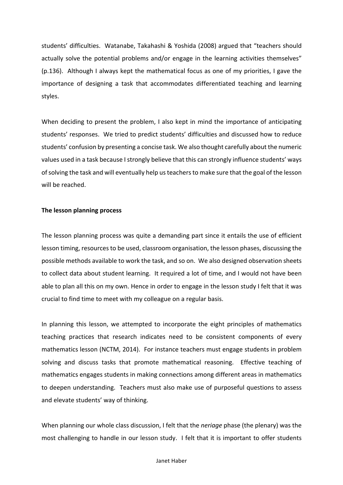students' difficulties. Watanabe, Takahashi & Yoshida (2008) argued that "teachers should actually solve the potential problems and/or engage in the learning activities themselves" (p.136). Although I always kept the mathematical focus as one of my priorities, I gave the importance of designing a task that accommodates differentiated teaching and learning styles.

When deciding to present the problem, I also kept in mind the importance of anticipating students' responses. We tried to predict students' difficulties and discussed how to reduce students' confusion by presenting a concise task. We also thought carefully about the numeric values used in a task because I strongly believe that this can strongly influence students' ways of solving the task and will eventually help us teachers to make sure that the goal of the lesson will be reached.

#### **The lesson planning process**

The lesson planning process was quite a demanding part since it entails the use of efficient lesson timing, resources to be used, classroom organisation, the lesson phases, discussing the possible methods available to work the task, and so on. We also designed observation sheets to collect data about student learning. It required a lot of time, and I would not have been able to plan all this on my own. Hence in order to engage in the lesson study I felt that it was crucial to find time to meet with my colleague on a regular basis.

In planning this lesson, we attempted to incorporate the eight principles of mathematics teaching practices that research indicates need to be consistent components of every mathematics lesson (NCTM, 2014). For instance teachers must engage students in problem solving and discuss tasks that promote mathematical reasoning. Effective teaching of mathematics engages students in making connections among different areas in mathematics to deepen understanding. Teachers must also make use of purposeful questions to assess and elevate students' way of thinking.

When planning our whole class discussion, I felt that the *neriage* phase (the plenary) was the most challenging to handle in our lesson study. I felt that it is important to offer students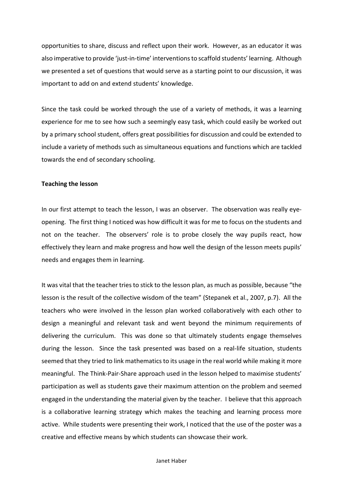opportunities to share, discuss and reflect upon their work. However, as an educator it was also imperative to provide 'just-in-time' interventions to scaffold students' learning. Although we presented a set of questions that would serve as a starting point to our discussion, it was important to add on and extend students' knowledge.

Since the task could be worked through the use of a variety of methods, it was a learning experience for me to see how such a seemingly easy task, which could easily be worked out by a primary school student, offers great possibilities for discussion and could be extended to include a variety of methods such as simultaneous equations and functions which are tackled towards the end of secondary schooling.

#### **Teaching the lesson**

In our first attempt to teach the lesson, I was an observer. The observation was really eyeopening. The first thing I noticed was how difficult it was for me to focus on the students and not on the teacher. The observers' role is to probe closely the way pupils react, how effectively they learn and make progress and how well the design of the lesson meets pupils' needs and engages them in learning.

It was vital that the teacher tries to stick to the lesson plan, as much as possible, because "the lesson is the result of the collective wisdom of the team" (Stepanek et al., 2007, p.7). All the teachers who were involved in the lesson plan worked collaboratively with each other to design a meaningful and relevant task and went beyond the minimum requirements of delivering the curriculum. This was done so that ultimately students engage themselves during the lesson. Since the task presented was based on a real-life situation, students seemed that they tried to link mathematics to its usage in the real world while making it more meaningful. The Think-Pair-Share approach used in the lesson helped to maximise students' participation as well as students gave their maximum attention on the problem and seemed engaged in the understanding the material given by the teacher. I believe that this approach is a collaborative learning strategy which makes the teaching and learning process more active. While students were presenting their work, I noticed that the use of the poster was a creative and effective means by which students can showcase their work.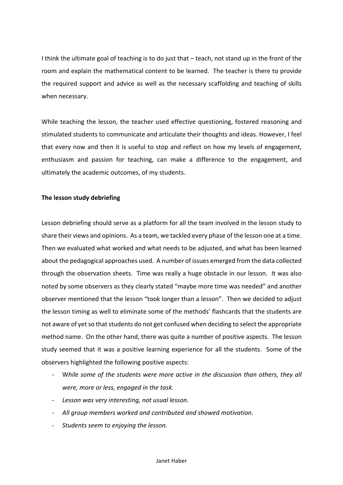I think the ultimate goal of teaching is to do just that  $-$  teach, not stand up in the front of the room and explain the mathematical content to be learned. The teacher is there to provide the required support and advice as well as the necessary scaffolding and teaching of skills when necessary.

While teaching the lesson, the teacher used effective questioning, fostered reasoning and stimulated students to communicate and articulate their thoughts and ideas. However, I feel that every now and then it is useful to stop and reflect on how my levels of engagement, enthusiasm and passion for teaching, can make a difference to the engagement, and ultimately the academic outcomes, of my students.

# **The lesson study debriefing**

Lesson debriefing should serve as a platform for all the team involved in the lesson study to share their views and opinions. As a team, we tackled every phase of the lesson one at a time. Then we evaluated what worked and what needs to be adjusted, and what has been learned about the pedagogical approaches used. A number of issues emerged from the data collected through the observation sheets. Time was really a huge obstacle in our lesson. It was also noted by some observers as they clearly stated "maybe more time was needed" and another observer mentioned that the lesson "took longer than a lesson". Then we decided to adjust the lesson timing as well to eliminate some of the methods' flashcards that the students are not aware of yet so that students do not get confused when deciding to select the appropriate method name. On the other hand, there was quite a number of positive aspects. The lesson study seemed that it was a positive learning experience for all the students. Some of the observers highlighted the following positive aspects:

- While some of the students were more active in the discussion than others, they all *were, more or less, engaged in the task.*
- Lesson was very interesting, not usual lesson.
- All group members worked and contributed and showed motivation.
- Students seem to enjoving the lesson.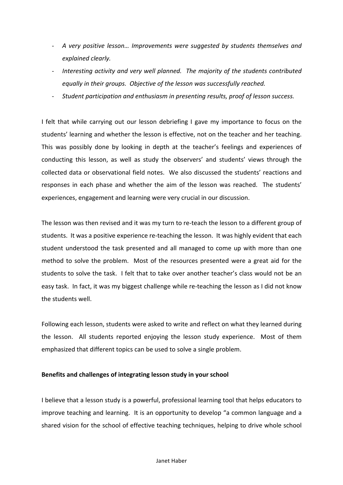- A very positive lesson... Improvements were suggested by students themselves and *explained clearly.*
- Interesting activity and very well planned. The majority of the students contributed equally in their groups. Objective of the lesson was successfully reached.
- Student participation and enthusiasm in presenting results, proof of lesson success.

I felt that while carrying out our lesson debriefing I gave my importance to focus on the students' learning and whether the lesson is effective, not on the teacher and her teaching. This was possibly done by looking in depth at the teacher's feelings and experiences of conducting this lesson, as well as study the observers' and students' views through the collected data or observational field notes. We also discussed the students' reactions and responses in each phase and whether the aim of the lesson was reached. The students' experiences, engagement and learning were very crucial in our discussion.

The lesson was then revised and it was my turn to re-teach the lesson to a different group of students. It was a positive experience re-teaching the lesson. It was highly evident that each student understood the task presented and all managed to come up with more than one method to solve the problem. Most of the resources presented were a great aid for the students to solve the task. I felt that to take over another teacher's class would not be an easy task. In fact, it was my biggest challenge while re-teaching the lesson as I did not know the students well.

Following each lesson, students were asked to write and reflect on what they learned during the lesson. All students reported enjoying the lesson study experience. Most of them emphasized that different topics can be used to solve a single problem.

# **Benefits and challenges of integrating lesson study in your school**

I believe that a lesson study is a powerful, professional learning tool that helps educators to improve teaching and learning. It is an opportunity to develop "a common language and a shared vision for the school of effective teaching techniques, helping to drive whole school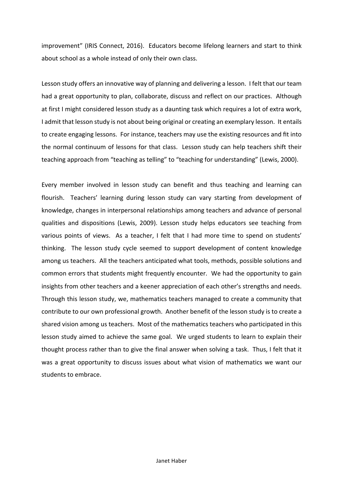improvement" (IRIS Connect, 2016). Educators become lifelong learners and start to think about school as a whole instead of only their own class.

Lesson study offers an innovative way of planning and delivering a lesson. I felt that our team had a great opportunity to plan, collaborate, discuss and reflect on our practices. Although at first I might considered lesson study as a daunting task which requires a lot of extra work, I admit that lesson study is not about being original or creating an exemplary lesson. It entails to create engaging lessons. For instance, teachers may use the existing resources and fit into the normal continuum of lessons for that class. Lesson study can help teachers shift their teaching approach from "teaching as telling" to "teaching for understanding" (Lewis, 2000).

Every member involved in lesson study can benefit and thus teaching and learning can flourish. Teachers' learning during lesson study can vary starting from development of knowledge, changes in interpersonal relationships among teachers and advance of personal qualities and dispositions (Lewis, 2009). Lesson study helps educators see teaching from various points of views. As a teacher, I felt that I had more time to spend on students' thinking. The lesson study cycle seemed to support development of content knowledge among us teachers. All the teachers anticipated what tools, methods, possible solutions and common errors that students might frequently encounter. We had the opportunity to gain insights from other teachers and a keener appreciation of each other's strengths and needs. Through this lesson study, we, mathematics teachers managed to create a community that contribute to our own professional growth. Another benefit of the lesson study is to create a shared vision among us teachers. Most of the mathematics teachers who participated in this lesson study aimed to achieve the same goal. We urged students to learn to explain their thought process rather than to give the final answer when solving a task. Thus, I felt that it was a great opportunity to discuss issues about what vision of mathematics we want our students to embrace.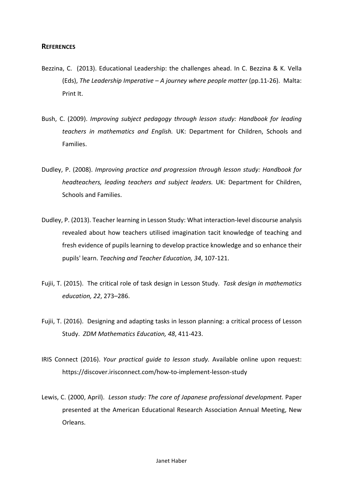## **REFERENCES**

- Bezzina, C. (2013). Educational Leadership: the challenges ahead. In C. Bezzina & K. Vella (Eds), *The Leadership Imperative – A journey where people matter* (pp.11-26). Malta: Print It.
- Bush, C. (2009). *Improving subject pedagogy through lesson study: Handbook for leading teachers in mathematics and English.* UK: Department for Children, Schools and Families.
- Dudley, P. (2008). *Improving practice and progression through lesson study: Handbook for headteachers, leading teachers and subject leaders.* UK: Department for Children, Schools and Families.
- Dudley, P. (2013). Teacher learning in Lesson Study: What interaction-level discourse analysis revealed about how teachers utilised imagination tacit knowledge of teaching and fresh evidence of pupils learning to develop practice knowledge and so enhance their pupils' learn. *Teaching and Teacher Education, 34*, 107-121.
- Fujii, T. (2015). The critical role of task design in Lesson Study. *Task design in mathematics education, 22*, 273–286.
- Fujii, T. (2016). Designing and adapting tasks in lesson planning: a critical process of Lesson Study. *ZDM Mathematics Education, 48, 411-423.*
- IRIS Connect (2016). *Your practical guide to lesson study*. Available online upon request: https://discover.irisconnect.com/how-to-implement-lesson-study
- Lewis, C. (2000, April). Lesson study: The core of Japanese professional development. Paper presented at the American Educational Research Association Annual Meeting, New Orleans.